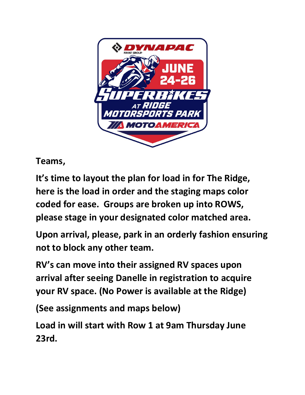

**Teams,** 

**It's time to layout the plan for load in for The Ridge, here is the load in order and the staging maps color coded for ease. Groups are broken up into ROWS, please stage in your designated color matched area.** 

**Upon arrival, please, park in an orderly fashion ensuring not to block any other team.** 

**RV's can move into their assigned RV spaces upon arrival after seeing Danelle in registration to acquire your RV space. (No Power is available at the Ridge)**

**(See assignments and maps below)**

**Load in will start with Row 1 at 9am Thursday June 23rd.**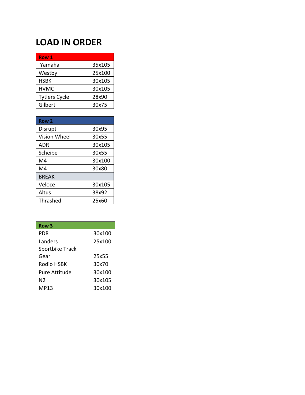## **LOAD IN ORDER**

| Row 1                |        |
|----------------------|--------|
| Yamaha               | 35x105 |
| Westby               | 25x100 |
| <b>HSBK</b>          | 30x105 |
| <b>HVMC</b>          | 30x105 |
| <b>Tytlers Cycle</b> | 28x90  |
| Gilbert              | 30x75  |

| Row <sub>2</sub>    |        |
|---------------------|--------|
| Disrupt             | 30x95  |
| <b>Vision Wheel</b> | 30x55  |
| ADR                 | 30x105 |
| Scheibe             | 30x55  |
| M4                  | 30x100 |
| M4                  | 30x80  |
| <b>BREAK</b>        |        |
| Veloce              | 30x105 |
| Altus               | 38x92  |
| Thrashed            | 25x60  |

| Row <sub>3</sub>       |        |
|------------------------|--------|
| PDR                    | 30x100 |
| Landers                | 25x100 |
| <b>Sportbike Track</b> |        |
| Gear                   | 25x55  |
| Rodio HSBK             | 30x70  |
| Pure Attitude          | 30x100 |
| N2                     | 30x105 |
| MP13                   | 30x100 |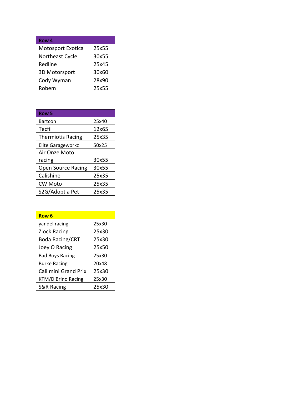| Row <sub>4</sub>  |       |
|-------------------|-------|
| Motosport Exotica | 25x55 |
| Northeast Cycle   | 30x55 |
| Redline           | 25x45 |
| 3D Motorsport     | 30x60 |
| Cody Wyman        | 28x90 |
| Robem             | 25x55 |

| Row 5                     |       |
|---------------------------|-------|
| Bartcon                   | 25x40 |
| Tecfil                    | 12x65 |
| <b>Thermiotis Racing</b>  | 25x35 |
| <b>Elite Garageworkz</b>  | 50x25 |
| Air Onze Moto             |       |
| racing                    | 30x55 |
| <b>Open Source Racing</b> | 30x55 |
| Calishine                 | 25x35 |
| <b>CW Moto</b>            | 25x35 |
| S2G/Adopt a Pet           | 25x35 |

| Row <sub>6</sub>          |       |
|---------------------------|-------|
| yandel racing             | 25x30 |
| <b>Zlock Racing</b>       | 25x30 |
| <b>Boda Racing/CRT</b>    | 25x30 |
| Joey O Racing             | 25x50 |
| <b>Bad Boys Racing</b>    | 25x30 |
| <b>Burke Racing</b>       | 20x48 |
| Cali mini Grand Prix      | 25x30 |
| <b>KTM/DiBrino Racing</b> | 25x30 |
| <b>S&amp;R Racing</b>     | 25x30 |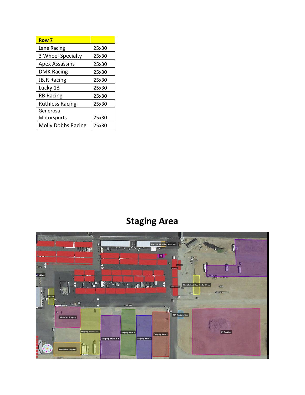| Row <sub>7</sub>          |       |
|---------------------------|-------|
| Lane Racing               | 25x30 |
| 3 Wheel Specialty         | 25x30 |
| <b>Apex Assassins</b>     | 25x30 |
| <b>DMK Racing</b>         | 25x30 |
| <b>JBJR Racing</b>        | 25x30 |
| Lucky 13                  | 25x30 |
| RB Racing                 | 25x30 |
| <b>Ruthless Racing</b>    | 25x30 |
| Generosa                  |       |
| Motorsports               | 25x30 |
| <b>Molly Dobbs Racing</b> | 25x30 |

## **Staging Area**